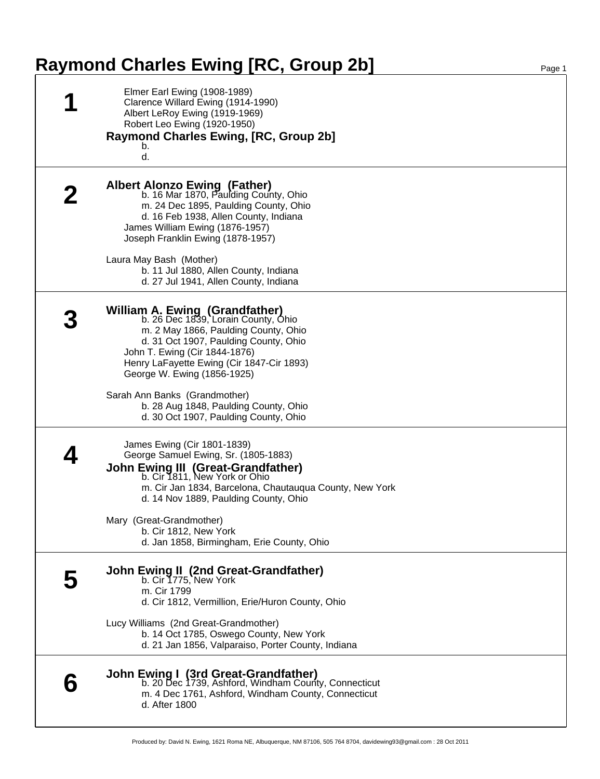## **Raymond Charles Ewing [RC, Group 2b]** Page 1

| Elmer Earl Ewing (1908-1989)<br>Clarence Willard Ewing (1914-1990)<br>Albert LeRoy Ewing (1919-1969)<br>Robert Leo Ewing (1920-1950)<br>Raymond Charles Ewing, [RC, Group 2b]<br>b.<br>d.                                                                                                                   |
|-------------------------------------------------------------------------------------------------------------------------------------------------------------------------------------------------------------------------------------------------------------------------------------------------------------|
| <b>Albert Alonzo Ewing (Father)</b><br>b. 16 Mar 1870, Paulding County, Ohio<br>m. 24 Dec 1895, Paulding County, Ohio<br>d. 16 Feb 1938, Allen County, Indiana<br>James William Ewing (1876-1957)<br>Joseph Franklin Ewing (1878-1957)<br>Laura May Bash (Mother)                                           |
| b. 11 Jul 1880, Allen County, Indiana<br>d. 27 Jul 1941, Allen County, Indiana                                                                                                                                                                                                                              |
| <b>William A. Ewing (Grandfather)</b><br>b. 26 Dec 1839, Lorain County, Ohio<br>m. 2 May 1866, Paulding County, Ohio<br>d. 31 Oct 1907, Paulding County, Ohio<br>John T. Ewing (Cir 1844-1876)<br>Henry LaFayette Ewing (Cir 1847-Cir 1893)<br>George W. Ewing (1856-1925)<br>Sarah Ann Banks (Grandmother) |
| b. 28 Aug 1848, Paulding County, Ohio<br>d. 30 Oct 1907, Paulding County, Ohio                                                                                                                                                                                                                              |
| James Ewing (Cir 1801-1839)<br>George Samuel Ewing, Sr. (1805-1883)<br><b>John Ewing III (Great-Grandfather)</b><br>b. Cir 1811, New York or Ohio<br>m. Cir Jan 1834, Barcelona, Chautauqua County, New York<br>d. 14 Nov 1889, Paulding County, Ohio                                                       |
| Mary (Great-Grandmother)<br>b. Cir 1812, New York<br>d. Jan 1858, Birmingham, Erie County, Ohio                                                                                                                                                                                                             |
| John Ewing II (2nd Great-Grandfather)<br>b. Cir 1775, New York<br>m. Cir 1799<br>d. Cir 1812, Vermillion, Erie/Huron County, Ohio                                                                                                                                                                           |
| Lucy Williams (2nd Great-Grandmother)<br>b. 14 Oct 1785, Oswego County, New York<br>d. 21 Jan 1856, Valparaiso, Porter County, Indiana                                                                                                                                                                      |
| <b>John Ewing I (3rd Great-Grandfather)</b><br>b. 20 Dec 1739, Ashford, Windham County, Connecticut<br>m. 4 Dec 1761, Ashford, Windham County, Connecticut<br>d. After 1800                                                                                                                                 |